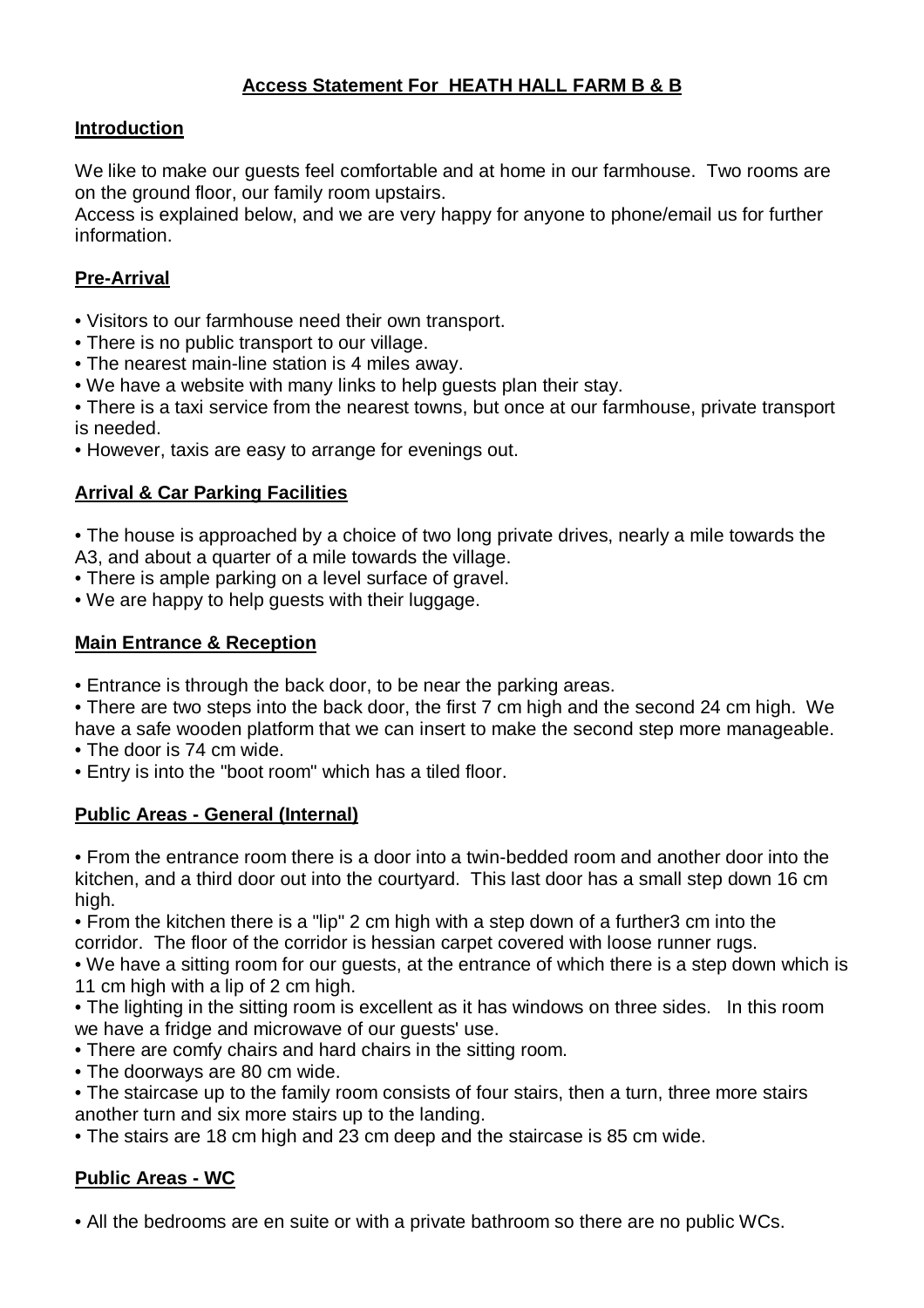# **Access Statement For HEATH HALL FARM B & B**

### **Introduction**

We like to make our guests feel comfortable and at home in our farmhouse. Two rooms are on the ground floor, our family room upstairs.

Access is explained below, and we are very happy for anyone to phone/email us for further information.

### **Pre-Arrival**

- Visitors to our farmhouse need their own transport.
- There is no public transport to our village.
- The nearest main-line station is 4 miles away.
- We have a website with many links to help guests plan their stay.
- There is a taxi service from the nearest towns, but once at our farmhouse, private transport is needed.
- However, taxis are easy to arrange for evenings out.

#### **Arrival & Car Parking Facilities**

- The house is approached by a choice of two long private drives, nearly a mile towards the A3, and about a quarter of a mile towards the village.
- There is ample parking on a level surface of gravel.
- We are happy to help guests with their luggage.

#### **Main Entrance & Reception**

- Entrance is through the back door, to be near the parking areas.
- There are two steps into the back door, the first 7 cm high and the second 24 cm high. We have a safe wooden platform that we can insert to make the second step more manageable.
- The door is 74 cm wide.
- Entry is into the "boot room" which has a tiled floor.

#### **Public Areas - General (Internal)**

• From the entrance room there is a door into a twin-bedded room and another door into the kitchen, and a third door out into the courtyard. This last door has a small step down 16 cm high.

• From the kitchen there is a "lip" 2 cm high with a step down of a further3 cm into the corridor. The floor of the corridor is hessian carpet covered with loose runner rugs.

• We have a sitting room for our guests, at the entrance of which there is a step down which is 11 cm high with a lip of 2 cm high.

- The lighting in the sitting room is excellent as it has windows on three sides. In this room we have a fridge and microwave of our guests' use.
- There are comfy chairs and hard chairs in the sitting room.
- The doorways are 80 cm wide.
- The staircase up to the family room consists of four stairs, then a turn, three more stairs another turn and six more stairs up to the landing.
- The stairs are 18 cm high and 23 cm deep and the staircase is 85 cm wide.

### **Public Areas - WC**

• All the bedrooms are en suite or with a private bathroom so there are no public WCs.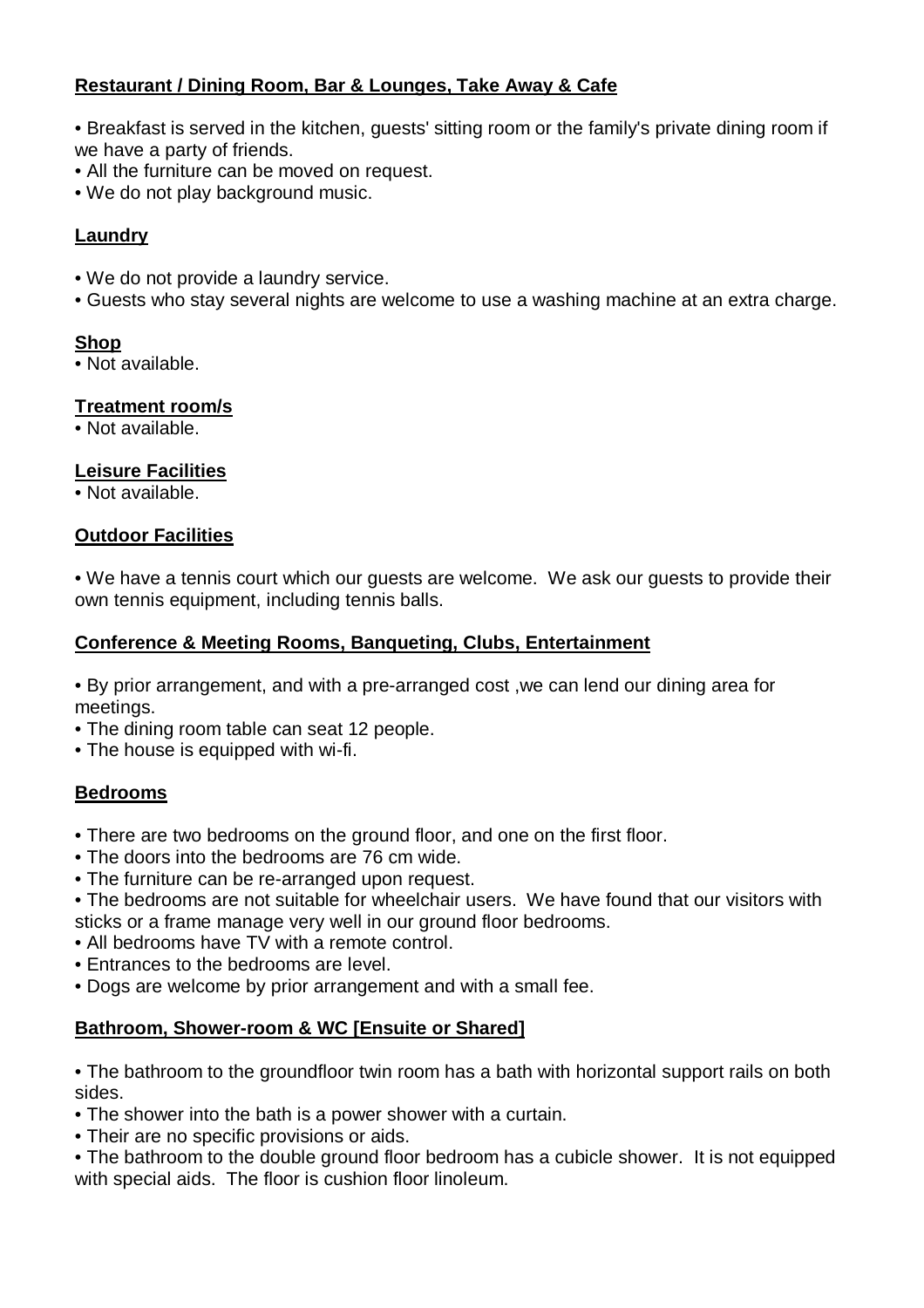# **Restaurant / Dining Room, Bar & Lounges, Take Away & Cafe**

- Breakfast is served in the kitchen, guests' sitting room or the family's private dining room if we have a party of friends.
- All the furniture can be moved on request.
- We do not play background music.

## **Laundry**

- We do not provide a laundry service.
- Guests who stay several nights are welcome to use a washing machine at an extra charge.

### **Shop**

• Not available.

### **Treatment room/s**

• Not available.

## **Leisure Facilities**

• Not available.

### **Outdoor Facilities**

• We have a tennis court which our guests are welcome. We ask our guests to provide their own tennis equipment, including tennis balls.

### **Conference & Meeting Rooms, Banqueting, Clubs, Entertainment**

• By prior arrangement, and with a pre-arranged cost ,we can lend our dining area for meetings.

- The dining room table can seat 12 people.
- The house is equipped with wi-fi.

### **Bedrooms**

- There are two bedrooms on the ground floor, and one on the first floor.
- The doors into the bedrooms are 76 cm wide.
- The furniture can be re-arranged upon request.
- The bedrooms are not suitable for wheelchair users. We have found that our visitors with sticks or a frame manage very well in our ground floor bedrooms.
- All bedrooms have TV with a remote control.
- Entrances to the bedrooms are level.
- Dogs are welcome by prior arrangement and with a small fee.

### **Bathroom, Shower-room & WC [Ensuite or Shared]**

• The bathroom to the groundfloor twin room has a bath with horizontal support rails on both sides.

- The shower into the bath is a power shower with a curtain.
- Their are no specific provisions or aids.

• The bathroom to the double ground floor bedroom has a cubicle shower. It is not equipped with special aids. The floor is cushion floor linoleum.